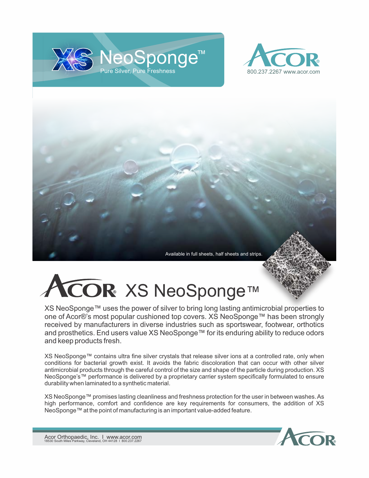





## ICOR XS NeoSponge™

XS NeoSponge™ uses the power of silver to bring long lasting antimicrobial properties to one of Acor®'s most popular cushioned top covers. XS NeoSponge™ has been strongly received by manufacturers in diverse industries such as sportswear, footwear, orthotics and prosthetics. End users value XS NeoSponge™ for its enduring ability to reduce odors and keep products fresh.

XS NeoSponge™ contains ultra fine silver crystals that release silver ions at a controlled rate, only when conditions for bacterial growth exist. It avoids the fabric discoloration that can occur with other silver antimicrobial products through the careful control of the size and shape of the particle during production. XS NeoSponge's™ performance is delivered by a proprietary carrier system specifically formulated to ensure durability when laminated to a synthetic material.

XS NeoSponge™ promises lasting cleanliness and freshness protection for the user in between washes. As high performance, comfort and confidence are key requirements for consumers, the addition of XS NeoSponge™ at the point of manufacturing is an important value-added feature.